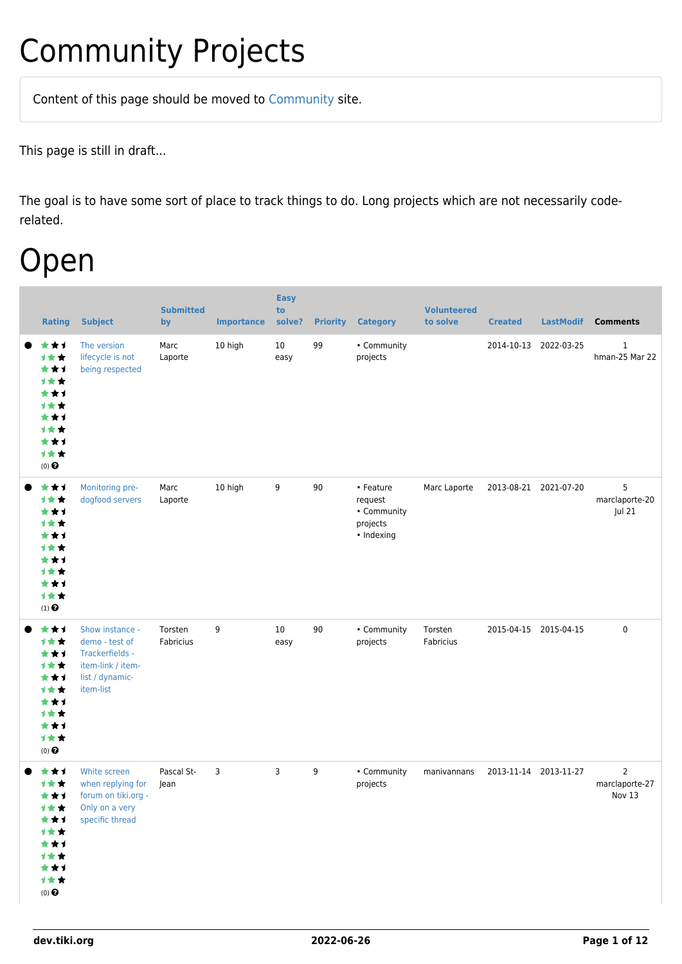## Community Projects

Content of this page should be [moved](https://dev.tiki.org/tiki-editpage.php?page=moved) to [Community](http://tiki.org/Community) site.

This page is still in draft...

The goal is to have some sort of place to track things to do. Long projects which are not necessarily coderelated.

### Open

| <b>Rating</b>                                                                              | <b>Subject</b>                                                                                            | <b>Submitted</b><br>by | <b>Importance</b> | <b>Easy</b><br>to<br>solve? | <b>Priority</b>  | <b>Category</b>                                               | <b>Volunteered</b><br>to solve | <b>Created</b>        | <b>LastModif</b> | <b>Comments</b>                            |
|--------------------------------------------------------------------------------------------|-----------------------------------------------------------------------------------------------------------|------------------------|-------------------|-----------------------------|------------------|---------------------------------------------------------------|--------------------------------|-----------------------|------------------|--------------------------------------------|
| ***<br>计女女<br>***<br>1★★<br>***<br>计女女<br>***<br>***<br>***<br>计女女<br>$(0)$ $\bigodot$     | The version<br>lifecycle is not<br>being respected                                                        | Marc<br>Laporte        | 10 high           | $10\,$<br>easy              | 99               | • Community<br>projects                                       |                                | 2014-10-13            | 2022-03-25       | $\mathbf{1}$<br>hman-25 Mar 22             |
| ***<br>1★★<br>***<br>1★★<br>***<br>计女女<br>***<br><b>1★★</b><br>***<br>计女女<br>$(1)$ $\odot$ | Monitoring pre-<br>dogfood servers                                                                        | Marc<br>Laporte        | 10 high           | 9                           | 90               | • Feature<br>request<br>• Community<br>projects<br>• Indexing | Marc Laporte                   | 2013-08-21            | 2021-07-20       | 5<br>marclaporte-20<br>Jul 21              |
| ***<br>1★★<br>***<br>1★★<br>***<br>1★★<br>***<br>计女女<br>***<br>计女女<br>$(0)$ $\bigodot$     | Show instance -<br>demo - test of<br>Trackerfields -<br>item-link / item-<br>list / dynamic-<br>item-list | Torsten<br>Fabricius   | 9                 | 10<br>easy                  | 90               | • Community<br>projects                                       | Torsten<br>Fabricius           | 2015-04-15 2015-04-15 |                  | 0                                          |
| ***<br>1**<br>***<br>计女女<br>***<br>1★★<br>***<br>1★★<br>***<br>计女女<br>$(0)$ $\odot$        | White screen<br>when replying for<br>forum on tiki.org -<br>Only on a very<br>specific thread             | Pascal St-<br>Jean     | 3                 | 3                           | $\boldsymbol{9}$ | • Community<br>projects                                       | manivannans                    | 2013-11-14 2013-11-27 |                  | $\overline{2}$<br>marclaporte-27<br>Nov 13 |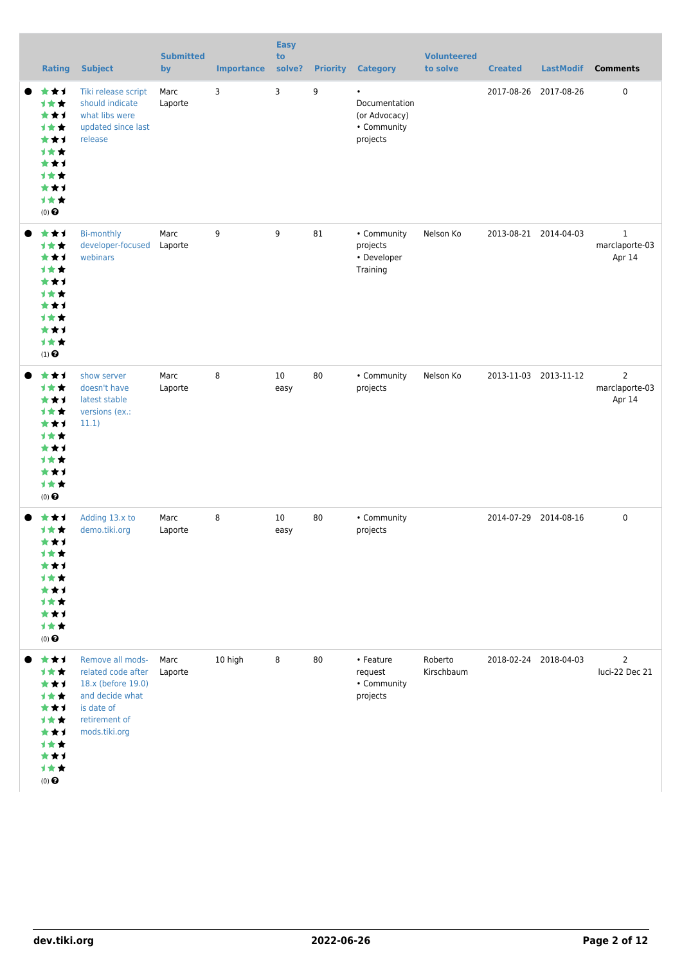| <b>Rating</b>                                                                                                    | <b>Subject</b>                                                                                                                  | <b>Submitted</b><br>by | <b>Importance</b> | <b>Easy</b><br>to<br>solve? |    | <b>Priority Category</b>                                               | <b>Volunteered</b><br>to solve | <b>Created</b> | <b>LastModif</b>      | <b>Comments</b>                            |
|------------------------------------------------------------------------------------------------------------------|---------------------------------------------------------------------------------------------------------------------------------|------------------------|-------------------|-----------------------------|----|------------------------------------------------------------------------|--------------------------------|----------------|-----------------------|--------------------------------------------|
| ***<br><b>1**</b><br>***<br><b>1**</b><br>***<br><b>1**</b><br>***<br><b>1**</b><br>***<br>计女女<br>$(0)$ $\Theta$ | Tiki release script<br>should indicate<br>what libs were<br>updated since last<br>release                                       | Marc<br>Laporte        | 3                 | 3                           | 9  | $\bullet$<br>Documentation<br>(or Advocacy)<br>• Community<br>projects |                                |                | 2017-08-26 2017-08-26 | $\mathbf 0$                                |
| ***<br>1★★<br>***<br><b>1**</b><br>***<br><b>1**</b><br>***<br><b>1**</b><br>***<br>计女女<br>$(1)$ $\odot$         | <b>Bi-monthly</b><br>developer-focused<br>webinars                                                                              | Marc<br>Laporte        | 9                 | 9                           | 81 | • Community<br>projects<br>• Developer<br>Training                     | Nelson Ko                      |                | 2013-08-21 2014-04-03 | $\mathbf{1}$<br>marclaporte-03<br>Apr 14   |
| ***<br><b>1**</b><br>***<br><b>1**</b><br>***<br><b>1**</b><br>***<br><b>1**</b><br>***<br>计女女<br>$(0)$ $\odot$  | show server<br>doesn't have<br>latest stable<br>versions (ex.:<br>11.1)                                                         | Marc<br>Laporte        | 8                 | 10<br>easy                  | 80 | • Community<br>projects                                                | Nelson Ko                      |                | 2013-11-03 2013-11-12 | $\overline{2}$<br>marclaporte-03<br>Apr 14 |
| ***<br>1★★<br>***<br>计女女<br>**1<br><b>1**</b><br>***<br><b>1**</b><br>***<br>计女女<br>$(0)$ $\Theta$               | Adding 13.x to<br>demo.tiki.org                                                                                                 | Marc<br>Laporte        | 8                 | 10<br>easy                  | 80 | • Community<br>projects                                                |                                |                | 2014-07-29 2014-08-16 | $\mathbf 0$                                |
| ***<br>1★★<br>***<br><b>1**</b><br>***<br><b>1**</b><br>***<br><b>1**</b><br>***<br>计女女<br>$(0)$ $\bigodot$      | Remove all mods-<br>related code after<br>18.x (before 19.0)<br>and decide what<br>is date of<br>retirement of<br>mods.tiki.org | Marc<br>Laporte        | 10 high           | 8                           | 80 | • Feature<br>request<br>• Community<br>projects                        | Roberto<br>Kirschbaum          |                | 2018-02-24 2018-04-03 | 2<br>luci-22 Dec 21                        |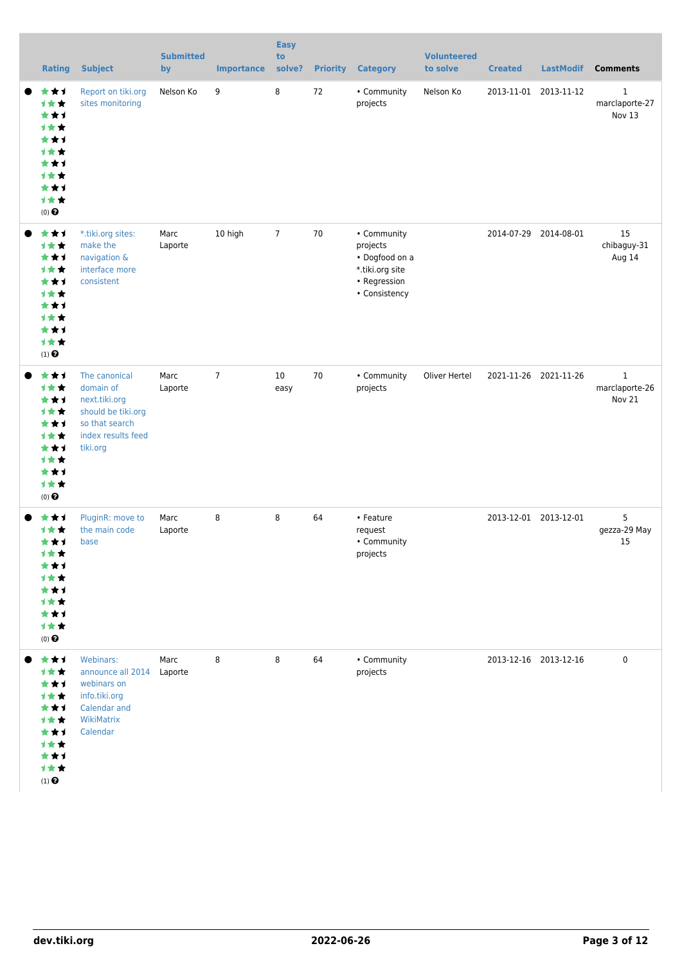| <b>Rating</b>                                                                                                   | <b>Subject</b>                                                                                                          | <b>Submitted</b><br>by | <b>Importance</b> | <b>Easy</b><br>to<br>solve? | <b>Priority</b> | <b>Category</b>                                                                               | <b>Volunteered</b><br>to solve | <b>Created</b>        | <b>LastModif</b>      | <b>Comments</b>                          |
|-----------------------------------------------------------------------------------------------------------------|-------------------------------------------------------------------------------------------------------------------------|------------------------|-------------------|-----------------------------|-----------------|-----------------------------------------------------------------------------------------------|--------------------------------|-----------------------|-----------------------|------------------------------------------|
| ***<br>计女女<br>***<br><b>1**</b><br>***<br><b>1**</b><br>***<br><b>1**</b><br>***<br>1★★<br>$(0)$ $\bigodot$     | Report on tiki.org<br>sites monitoring                                                                                  | Nelson Ko              | 9                 | 8                           | 72              | • Community<br>projects                                                                       | Nelson Ko                      | 2013-11-01            | 2013-11-12            | $\mathbf{1}$<br>marclaporte-27<br>Nov 13 |
| ***<br><b>1**</b><br>***<br><b>1**</b><br>***<br><b>1**</b><br>***<br><b>1**</b><br>***<br>计女女<br>$(1)$ $\odot$ | *.tiki.org sites:<br>make the<br>navigation &<br>interface more<br>consistent                                           | Marc<br>Laporte        | 10 high           | $\overline{7}$              | 70              | • Community<br>projects<br>• Dogfood on a<br>*.tiki.org site<br>• Regression<br>• Consistency |                                |                       | 2014-07-29 2014-08-01 | 15<br>chibaguy-31<br>Aug 14              |
| ***<br>1★★<br>***<br><b>1**</b><br>***<br><b>1★★</b><br>***<br><b>1**</b><br>***<br>1★★<br>$(0)$ $\odot$        | The canonical<br>domain of<br>next.tiki.org<br>should be tiki.org<br>so that search<br>index results feed<br>tiki.org   | Marc<br>Laporte        | $\overline{7}$    | 10<br>easy                  | 70              | • Community<br>projects                                                                       | Oliver Hertel                  |                       | 2021-11-26 2021-11-26 | $\mathbf{1}$<br>marclaporte-26<br>Nov 21 |
| ***<br><b>1★★</b><br>***<br>计女女<br>***<br><b>1★★</b><br>***<br>计女女<br>***<br>1女女<br>$(0)$ $\Theta$              | PluginR: move to<br>the main code<br>base                                                                               | Marc<br>Laporte        | 8                 | 8                           | 64              | • Feature<br>request<br>• Community<br>projects                                               |                                | 2013-12-01 2013-12-01 |                       | 5<br>gezza-29 May<br>15                  |
| ***<br><b>1**</b><br>***<br><b>1**</b><br>***<br>计女女<br>***<br>计女女<br>***<br>计女女<br>$(1)$<br>$\pmb{\Theta}$     | Webinars:<br>announce all 2014 Laporte<br>webinars on<br>info.tiki.org<br><b>Calendar and</b><br>WikiMatrix<br>Calendar | Marc                   | 8                 | 8                           | 64              | • Community<br>projects                                                                       |                                |                       | 2013-12-16 2013-12-16 | $\pmb{0}$                                |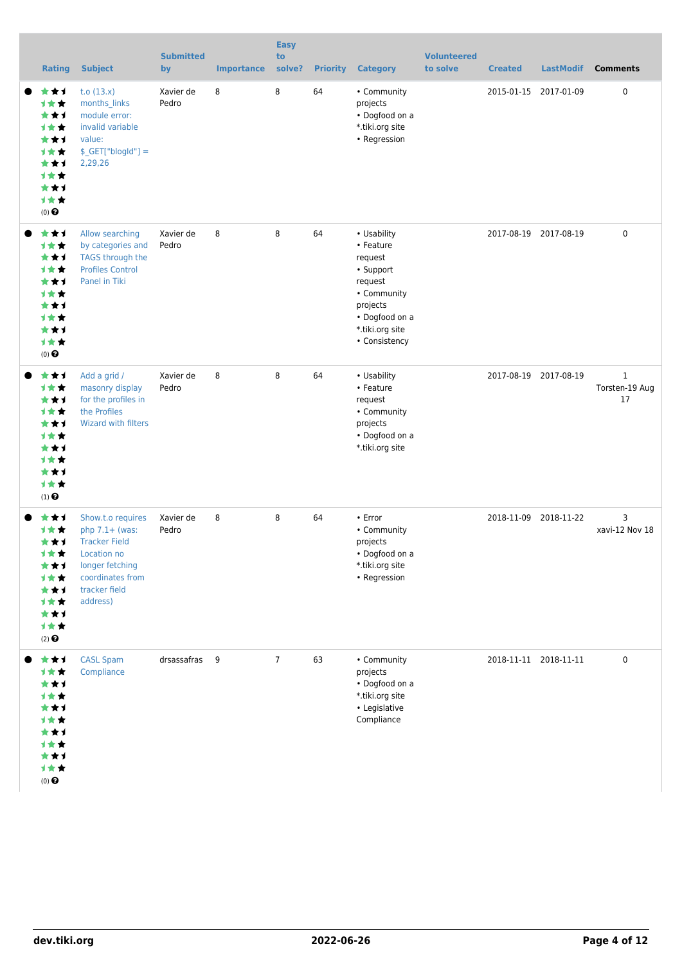| <b>Rating</b>                                                                                                      | <b>Subject</b>                                                                                                                                   | <b>Submitted</b><br>by | <b>Importance</b> | <b>Easy</b><br>to<br>solve? | <b>Priority</b> | <b>Category</b>                                                                                                                              | <b>Volunteered</b><br>to solve | <b>Created</b> | <b>LastModif</b>      | <b>Comments</b>                      |
|--------------------------------------------------------------------------------------------------------------------|--------------------------------------------------------------------------------------------------------------------------------------------------|------------------------|-------------------|-----------------------------|-----------------|----------------------------------------------------------------------------------------------------------------------------------------------|--------------------------------|----------------|-----------------------|--------------------------------------|
| ***<br><b>1**</b><br>***<br><b>1**</b><br>***<br><b>1**</b><br>***<br><b>1**</b><br>***<br>1★★<br>$(0)$ $\bigodot$ | t.o $(13.x)$<br>months links<br>module error:<br>invalid variable<br>value:<br>$$$ <sub>_GET</sub> ["blogId"] =<br>2,29,26                       | Xavier de<br>Pedro     | 8                 | 8                           | 64              | • Community<br>projects<br>• Dogfood on a<br>*.tiki.org site<br>• Regression                                                                 |                                |                | 2015-01-15 2017-01-09 | 0                                    |
| ***<br>1★★<br>***<br><b>1**</b><br>***<br><b>1**</b><br>***<br><b>1**</b><br>***<br>1★★<br>$(0)$ $\odot$           | Allow searching<br>by categories and<br><b>TAGS through the</b><br><b>Profiles Control</b><br>Panel in Tiki                                      | Xavier de<br>Pedro     | 8                 | 8                           | 64              | • Usability<br>• Feature<br>request<br>• Support<br>request<br>• Community<br>projects<br>• Dogfood on a<br>*.tiki.org site<br>• Consistency |                                |                | 2017-08-19 2017-08-19 | $\mathbf 0$                          |
| ***<br>1★★<br>***<br>1★★<br>***<br>1★★<br>***<br>1★★<br>***<br>1★★<br>$(1)$ <sup><math>\odot</math></sup>          | Add a grid /<br>masonry display<br>for the profiles in<br>the Profiles<br><b>Wizard with filters</b>                                             | Xavier de<br>Pedro     | 8                 | 8                           | 64              | • Usability<br>• Feature<br>request<br>• Community<br>projects<br>• Dogfood on a<br>*.tiki.org site                                          |                                |                | 2017-08-19 2017-08-19 | $\mathbf{1}$<br>Torsten-19 Aug<br>17 |
| ***<br><b>1**</b><br>***<br>1★★<br>***<br>1★★<br>***<br>1★★<br>***<br>1★★<br>$(2)$ $\odot$                         | Show.t.o requires<br>php $7.1+$ (was:<br><b>Tracker Field</b><br>Location no<br>longer fetching<br>coordinates from<br>tracker field<br>address) | Xavier de<br>Pedro     | 8                 | 8                           | 64              | • Error<br>• Community<br>projects<br>• Dogfood on a<br>*.tiki.org site<br>• Regression                                                      |                                |                | 2018-11-09 2018-11-22 | 3<br>xavi-12 Nov 18                  |
| ***<br>1★★<br>***<br><b>1**</b><br>***<br><b>1**</b><br>***<br><b>1**</b><br>***<br>1★★<br>$(0)$ $\bigodot$        | <b>CASL Spam</b><br>Compliance                                                                                                                   | drsassafras 9          |                   | $\overline{7}$              | 63              | • Community<br>projects<br>• Dogfood on a<br>*.tiki.org site<br>• Legislative<br>Compliance                                                  |                                |                | 2018-11-11 2018-11-11 | 0                                    |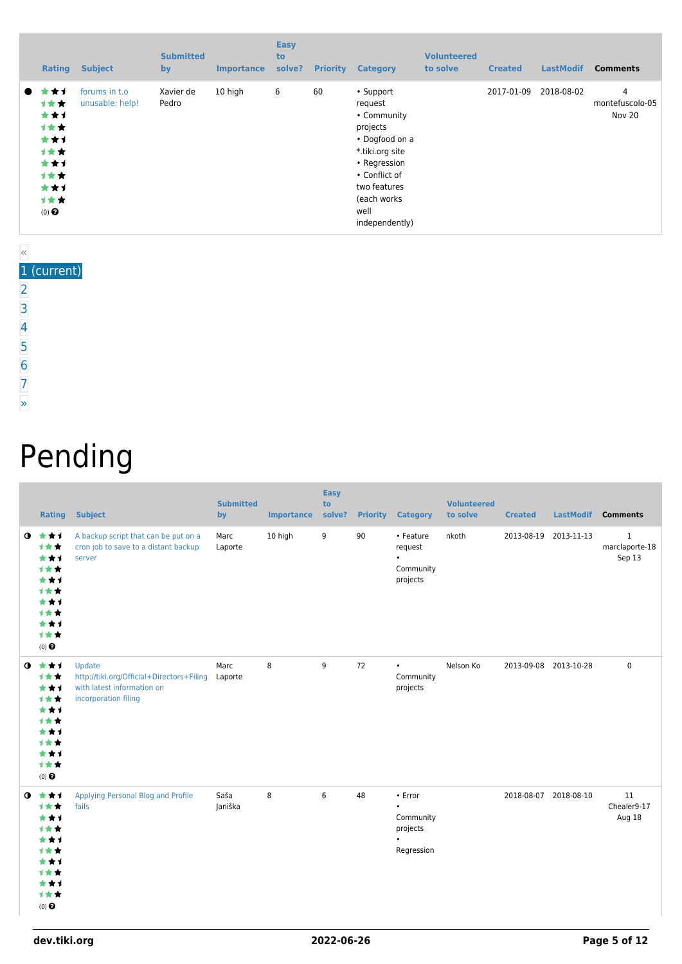| <b>Rating</b>                                                                                    | <b>Subject</b>                   | <b>Submitted</b><br>by | <b>Importance</b> | <b>Easy</b><br>to<br>solve? | <b>Priority</b> | <b>Category</b>                                                                                                                                                                 | <b>Volunteered</b><br>to solve | <b>Created</b> | <b>LastModif</b> | <b>Comments</b>                |
|--------------------------------------------------------------------------------------------------|----------------------------------|------------------------|-------------------|-----------------------------|-----------------|---------------------------------------------------------------------------------------------------------------------------------------------------------------------------------|--------------------------------|----------------|------------------|--------------------------------|
| ┢╈┪<br>$\bullet$<br>计女女<br>***<br>计女女<br>***<br>计女女<br>***<br>计女女<br>***<br>计女女<br>$(0)$ $\odot$ | forums in t.o<br>unusable: help! | Xavier de<br>Pedro     | 10 high           | 6                           | 60              | • Support<br>request<br>• Community<br>projects<br>• Dogfood on a<br>*.tiki.org site<br>• Regression<br>• Conflict of<br>two features<br>(each works)<br>well<br>independently) |                                | 2017-01-09     | 2018-08-02       | 4<br>montefuscolo-05<br>Nov 20 |

#### « 1 (current)

- [2](https://dev.tiki.org/tiki-print.php?page=Community+Projects&tr_offset1=20)
- [3](https://dev.tiki.org/tiki-print.php?page=Community+Projects&tr_offset1=40)
- [4](https://dev.tiki.org/tiki-print.php?page=Community+Projects&tr_offset1=60)
- [5](https://dev.tiki.org/tiki-print.php?page=Community+Projects&tr_offset1=80)
- 
- [6](https://dev.tiki.org/tiki-print.php?page=Community+Projects&tr_offset1=100)
- [7](https://dev.tiki.org/tiki-print.php?page=Community+Projects&tr_offset1=120)
- [»](https://dev.tiki.org/tiki-print.php?page=Community+Projects&tr_offset1=20)

# Pending

|                  | <b>Rating</b>                                                                       | <b>Subject</b>                                                                                            | <b>Submitted</b><br>by | <b>Importance</b> | <b>Easy</b><br>to<br>solve? |    | <b>Priority Category</b>                                                 | <b>Volunteered</b><br>to solve | <b>Created</b> | LastModif             | <b>Comments</b>                          |
|------------------|-------------------------------------------------------------------------------------|-----------------------------------------------------------------------------------------------------------|------------------------|-------------------|-----------------------------|----|--------------------------------------------------------------------------|--------------------------------|----------------|-----------------------|------------------------------------------|
| $\mathbf \Omega$ | ***<br>1★★<br>***<br>***<br>***<br>1★★<br>***<br>***<br>***<br>1★★<br>$(0)$ $\odot$ | A backup script that can be put on a<br>cron job to save to a distant backup<br>server                    | Marc<br>Laporte        | 10 high           | 9                           | 90 | • Feature<br>request<br>$\bullet$<br>Community<br>projects               | nkoth                          |                | 2013-08-19 2013-11-13 | $\mathbf{1}$<br>marclaporte-18<br>Sep 13 |
| $\bullet$        | ***<br>计女女<br>***<br>1★★<br>***<br>1★★<br>***<br>1★★<br>***<br>→★★<br>$(0)$ $\odot$ | Update<br>http://tiki.org/Official+Directors+Filing<br>with latest information on<br>incorporation filing | Marc<br>Laporte        | 8                 | 9                           | 72 | $\bullet$<br>Community<br>projects                                       | Nelson Ko                      |                | 2013-09-08 2013-10-28 | $\mathbf 0$                              |
| $\bullet$        | ***<br>***<br>***<br>1★★<br>***<br>***<br>***<br>1★★<br>***<br>1★★<br>$(0)$ $\odot$ | Applying Personal Blog and Profile<br>fails                                                               | Saša<br>Janiška        | 8                 | 6                           | 48 | • Error<br>$\bullet$<br>Community<br>projects<br>$\bullet$<br>Regression |                                |                | 2018-08-07 2018-08-10 | 11<br>Chealer9-17<br>Aug 18              |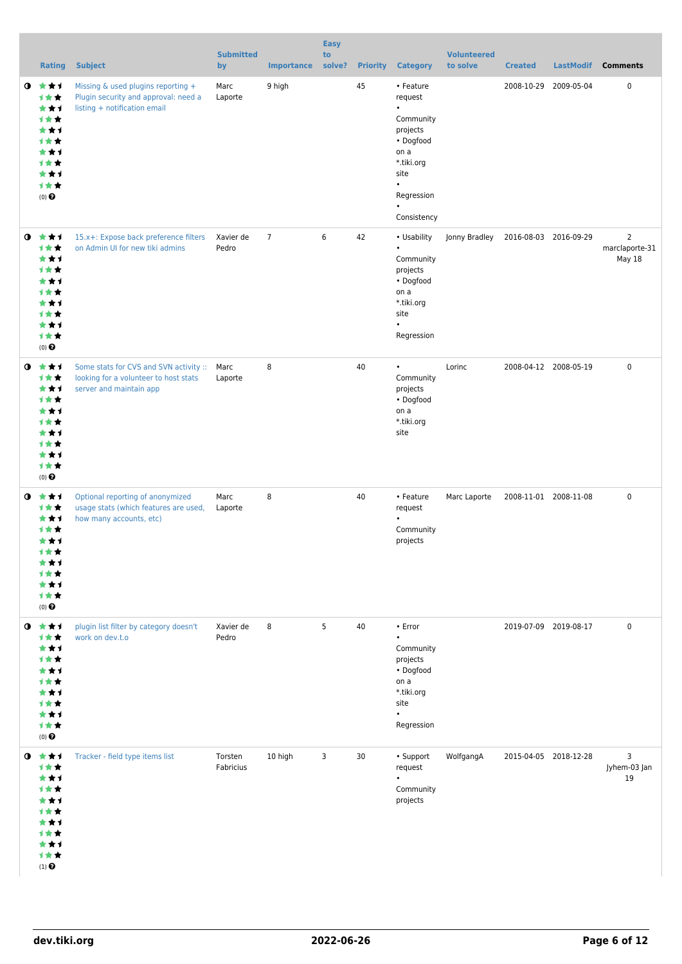|           | <b>Rating</b>                                                                                     | <b>Subject</b>                                                                                                  | <b>Submitted</b><br>by | <b>Importance</b> | <b>Easy</b><br>to<br>solve? |    | <b>Priority Category</b>                                                                                                                                     | <b>Volunteered</b><br>to solve | <b>Created</b> | <b>LastModif</b>      | <b>Comments</b>                            |
|-----------|---------------------------------------------------------------------------------------------------|-----------------------------------------------------------------------------------------------------------------|------------------------|-------------------|-----------------------------|----|--------------------------------------------------------------------------------------------------------------------------------------------------------------|--------------------------------|----------------|-----------------------|--------------------------------------------|
| $\bullet$ | ***<br><b>1★★</b><br>***<br><b>1**</b><br>***<br>1★★<br>***<br>计女女<br>***<br>计女女<br>$(0)$ $\odot$ | Missing & used plugins reporting +<br>Plugin security and approval: need a<br>listing + notification email      | Marc<br>Laporte        | 9 high            |                             | 45 | • Feature<br>request<br>$\bullet$<br>Community<br>projects<br>• Dogfood<br>on a<br>*.tiki.org<br>site<br>$\bullet$<br>Regression<br>$\bullet$<br>Consistency |                                |                | 2008-10-29 2009-05-04 | 0                                          |
| $\bullet$ | ***<br>1★★<br>***<br>计女女<br>***<br><b>1**</b><br>***<br>计女女<br>***<br>计女女<br>$(0)$ $\odot$        | 15.x+: Expose back preference filters<br>on Admin UI for new tiki admins                                        | Xavier de<br>Pedro     | $\overline{7}$    | 6                           | 42 | • Usability<br>$\bullet$<br>Community<br>projects<br>• Dogfood<br>on a<br>*.tiki.org<br>site<br>$\bullet$<br>Regression                                      | Jonny Bradley                  |                | 2016-08-03 2016-09-29 | $\overline{2}$<br>marclaporte-31<br>May 18 |
| $\bullet$ | ***<br>计女女<br>***<br>计女女<br>***<br><b>1**</b><br>***<br>1★★<br>***<br>计女女<br>$(0)$ $\odot$        | Some stats for CVS and SVN activity :: Marc<br>looking for a volunteer to host stats<br>server and maintain app | Laporte                | 8                 |                             | 40 | $\bullet$<br>Community<br>projects<br>• Dogfood<br>on a<br>*.tiki.org<br>site                                                                                | Lorinc                         |                | 2008-04-12 2008-05-19 | $\mathbf 0$                                |
| $\bullet$ | ***<br>计女女<br>***<br><b>1**</b><br>***<br>计女女<br>***<br>1★★<br>***<br>计女女<br>$(0)$ $\odot$        | Optional reporting of anonymized<br>usage stats (which features are used,<br>how many accounts, etc)            | Marc<br>Laporte        | 8                 |                             | 40 | • Feature<br>request<br>$\bullet$<br>Community<br>projects                                                                                                   | Marc Laporte                   |                | 2008-11-01 2008-11-08 | $\mathbf 0$                                |
| $\bullet$ | ***<br><b>1**</b><br>***<br>计女女<br>***<br>计女女<br>***<br>计女女<br>***<br>计女女<br>$(0)$ $\Theta$       | plugin list filter by category doesn't<br>work on dev.t.o                                                       | Xavier de<br>Pedro     | 8                 | 5                           | 40 | • Error<br>$\bullet$<br>Community<br>projects<br>• Dogfood<br>on a<br>*.tiki.org<br>site<br>$\bullet$<br>Regression                                          |                                |                | 2019-07-09 2019-08-17 | 0                                          |
|           | $0$ $*$ $*$ $*$<br>计女女<br>***<br>计女女<br>***<br>计女女<br>***<br>计女女<br>***<br>1★★<br>$(1)$ $\odot$   | Tracker - field type items list                                                                                 | Torsten<br>Fabricius   | 10 high           | 3                           | 30 | • Support<br>request<br>$\bullet$<br>Community<br>projects                                                                                                   | WolfgangA                      |                | 2015-04-05 2018-12-28 | 3<br>Jyhem-03 Jan<br>19                    |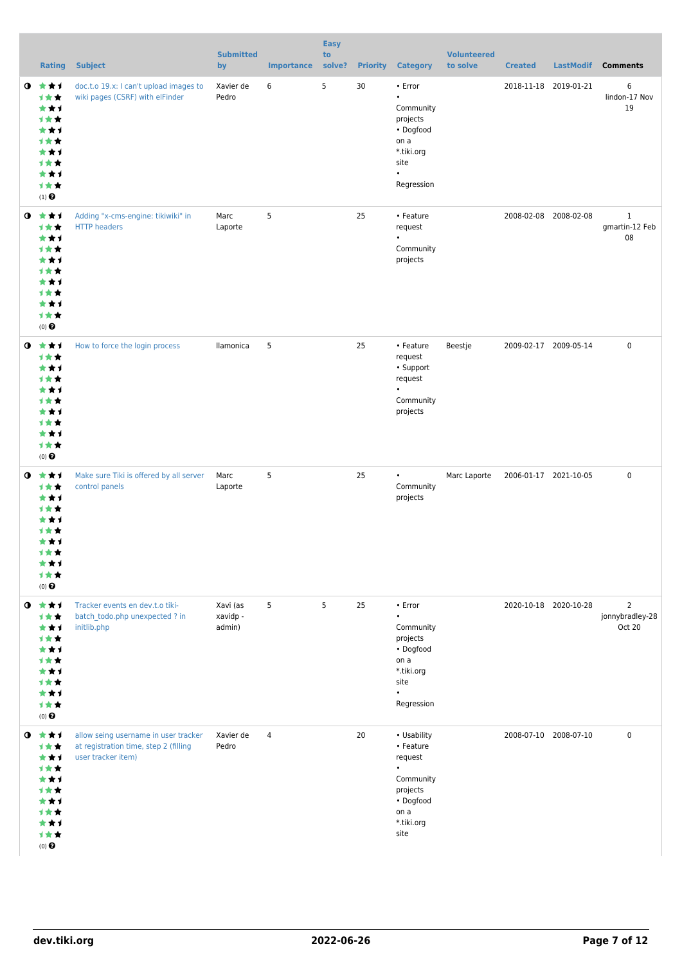|           | Rating                                                                                                          | <b>Subject</b>                                                                                      | <b>Submitted</b><br>by         | <b>Importance</b> | <b>Easy</b><br>to<br>solve? | <b>Priority</b> | <b>Category</b>                                                                                                      | <b>Volunteered</b><br>to solve | <b>Created</b>        | <b>LastModif</b>      | <b>Comments</b>                             |
|-----------|-----------------------------------------------------------------------------------------------------------------|-----------------------------------------------------------------------------------------------------|--------------------------------|-------------------|-----------------------------|-----------------|----------------------------------------------------------------------------------------------------------------------|--------------------------------|-----------------------|-----------------------|---------------------------------------------|
|           | $0 \star \star \star$<br>计女女<br>***<br>计女女<br>***<br>计女女<br>***<br>计女女<br>***<br>计女女<br>$(1)$<br>$\pmb{\Theta}$ | doc.t.o 19.x: I can't upload images to<br>wiki pages (CSRF) with elFinder                           | Xavier de<br>Pedro             | 6                 | 5                           | 30              | • Error<br>$\bullet$<br>Community<br>projects<br>• Dogfood<br>on a<br>*.tiki.org<br>site<br>$\bullet$<br>Regression  |                                | 2018-11-18 2019-01-21 |                       | 6<br>lindon-17 Nov<br>19                    |
|           | $0 \star \star \star$<br>1★★<br>***<br>计女女<br>***<br>计女女<br>***<br>计女女<br>***<br>计女女<br>$(0)$ $\odot$           | Adding "x-cms-engine: tikiwiki" in<br><b>HTTP</b> headers                                           | Marc<br>Laporte                | 5                 |                             | 25              | • Feature<br>request<br>$\bullet$<br>Community<br>projects                                                           |                                | 2008-02-08 2008-02-08 |                       | $\mathbf{1}$<br>gmartin-12 Feb<br>08        |
| ◑         | 大大才<br>计女女<br>***<br>计女女<br>***<br>计女女<br>***<br>计女女<br>***<br>计女女<br>$(0)$ $\odot$                             | How to force the login process                                                                      | llamonica                      | 5                 |                             | 25              | • Feature<br>request<br>• Support<br>request<br>$\bullet$<br>Community<br>projects                                   | Beestje                        | 2009-02-17 2009-05-14 |                       | $\mathbf 0$                                 |
| $\bullet$ | ***<br><b>1**</b><br>***<br>计女女<br>★★1<br><b>1 ★ ★</b><br>***<br>计女女<br>***<br>计女女<br>$(0)$ $\odot$             | Make sure Tiki is offered by all server<br>control panels                                           | Marc<br>Laporte                | 5                 |                             | 25              | $\bullet$<br>Community<br>projects                                                                                   | Marc Laporte                   | 2006-01-17 2021-10-05 |                       | $\mathbf 0$                                 |
| $\bullet$ | ***<br>计女女<br>***<br>计女女<br>***<br>计女女<br>***<br>计女女<br>***<br>计女女<br>$(0)$ $\odot$                             | Tracker events en dev.t.o tiki-<br>batch todo.php unexpected ? in<br>initlib.php                    | Xavi (as<br>xavidp -<br>admin) | 5                 | 5                           | 25              | • Error<br>$\bullet$<br>Community<br>projects<br>• Dogfood<br>on a<br>*.tiki.org<br>site<br>$\bullet$<br>Regression  |                                |                       | 2020-10-18 2020-10-28 | $\overline{2}$<br>jonnybradley-28<br>Oct 20 |
| $\bullet$ | ***<br>计女女<br>***<br>计女女<br>***<br>计女女<br>***<br><b>1**</b><br>***<br>计女女<br>$(0)$ $\Theta$                     | allow seing username in user tracker<br>at registration time, step 2 (filling<br>user tracker item) | Xavier de<br>Pedro             | 4                 |                             | 20              | • Usability<br>• Feature<br>request<br>$\bullet$<br>Community<br>projects<br>• Dogfood<br>on a<br>*.tiki.org<br>site |                                | 2008-07-10 2008-07-10 |                       | 0                                           |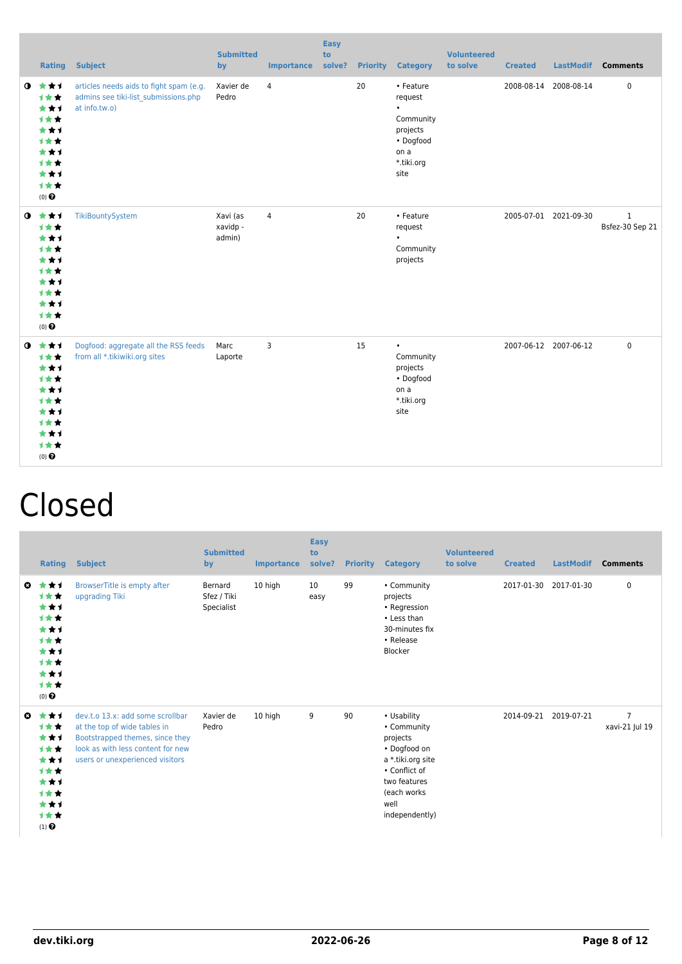|           |                                                                                                       | <b>Rating Subject</b>                                                                            | <b>Submitted</b><br>by         | <b>Importance</b> | <b>Easy</b><br>to<br>solve? |    | <b>Priority Category</b>                                                                              | <b>Volunteered</b><br>to solve | <b>Created</b> |                       | LastModif Comments              |
|-----------|-------------------------------------------------------------------------------------------------------|--------------------------------------------------------------------------------------------------|--------------------------------|-------------------|-----------------------------|----|-------------------------------------------------------------------------------------------------------|--------------------------------|----------------|-----------------------|---------------------------------|
| $\bullet$ | ***<br>1★★<br>***<br>***<br>***<br>1★★<br>***<br>1★★<br>***<br>1★★<br>$(0)$ $\Theta$                  | articles needs aids to fight spam (e.g.<br>admins see tiki-list submissions.php<br>at info.tw.o) | Xavier de<br>Pedro             | $\overline{4}$    |                             | 20 | • Feature<br>request<br>$\bullet$<br>Community<br>projects<br>• Dogfood<br>on a<br>*.tiki.org<br>site |                                |                | 2008-08-14 2008-08-14 | $\pmb{0}$                       |
|           | $0$ $\star\star\star$<br>1★★<br>***<br>1★★<br>***<br>1★★<br>***<br>1★★<br>***<br>1★★<br>$(0)$ $\odot$ | TikiBountySystem                                                                                 | Xavi (as<br>xavidp -<br>admin) | $\overline{4}$    |                             | 20 | • Feature<br>request<br>Community<br>projects                                                         |                                |                | 2005-07-01 2021-09-30 | $\mathbf{1}$<br>Bsfez-30 Sep 21 |
|           | $0 \star \star \star$<br>1★★<br>***<br>1★★<br>***<br>1★★<br>***<br>***<br>***<br>1★★<br>$(0)$ $\odot$ | Dogfood: aggregate all the RSS feeds<br>from all *.tikiwiki.org sites                            | Marc<br>Laporte                | 3                 |                             | 15 | $\bullet$<br>Community<br>projects<br>• Dogfood<br>on a<br>*.tiki.org<br>site                         |                                |                | 2007-06-12 2007-06-12 | $\mathbf 0$                     |

## Closed

|    | Rating                                                                              | <b>Subject</b>                                                                                                                                                              | <b>Submitted</b><br>by               | <b>Importance</b> | <b>Easy</b><br>to<br>solve? | <b>Priority</b> | <b>Category</b>                                                                                                                                       | <b>Volunteered</b><br>to solve | <b>Created</b> | <b>LastModif</b>      | <b>Comments</b>                  |
|----|-------------------------------------------------------------------------------------|-----------------------------------------------------------------------------------------------------------------------------------------------------------------------------|--------------------------------------|-------------------|-----------------------------|-----------------|-------------------------------------------------------------------------------------------------------------------------------------------------------|--------------------------------|----------------|-----------------------|----------------------------------|
| o. | ***<br>计女女<br>***<br>***<br>***<br>***<br>***<br>***<br>***<br>计女女<br>$(0)$ $\odot$ | BrowserTitle is empty after<br>upgrading Tiki                                                                                                                               | Bernard<br>Sfez / Tiki<br>Specialist | 10 high           | 10<br>easy                  | 99              | • Community<br>projects<br>• Regression<br>• Less than<br>30-minutes fix<br>• Release<br>Blocker                                                      |                                |                | 2017-01-30 2017-01-30 | 0                                |
| O  | ***<br>***<br>***<br>***<br>***<br>计女女<br>***<br>***<br>***<br>计女女<br>$(1)$ $\odot$ | dev.t.o 13.x: add some scrollbar<br>at the top of wide tables in<br>Bootstrapped themes, since they<br>look as with less content for new<br>users or unexperienced visitors | Xavier de<br>Pedro                   | 10 high           | 9                           | 90              | • Usability<br>• Community<br>projects<br>• Dogfood on<br>a *.tiki.org site<br>• Conflict of<br>two features<br>(each works<br>well<br>independently) |                                |                | 2014-09-21 2019-07-21 | $\overline{7}$<br>xavi-21 Jul 19 |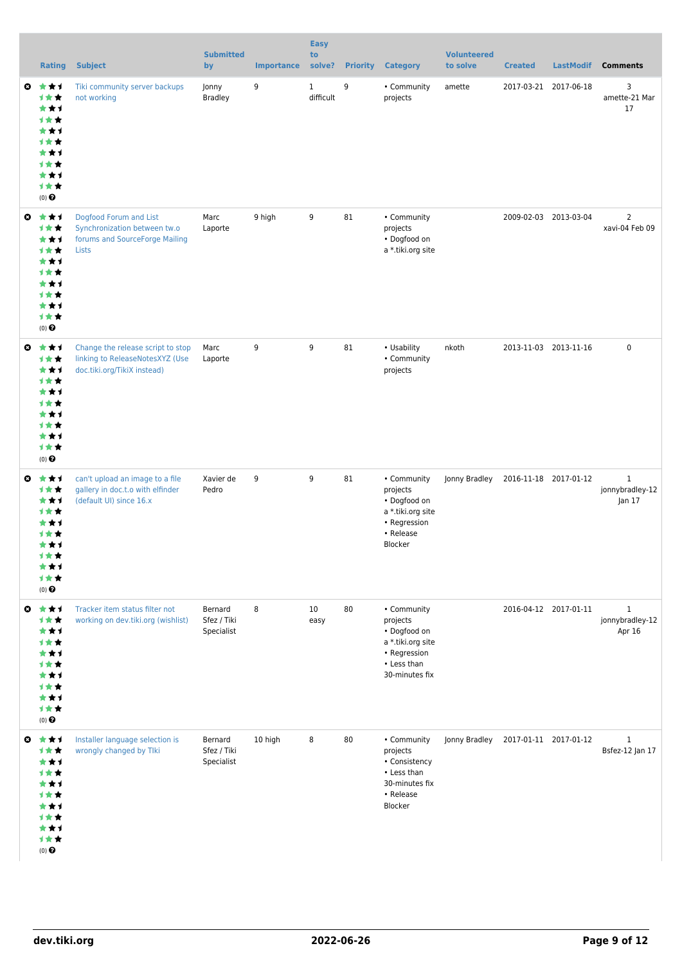|                       | <b>Rating</b>                                                                                       | <b>Subject</b>                                                                                      | <b>Submitted</b><br>by               | <b>Importance</b> | <b>Easy</b><br>to<br>solve? |    | <b>Priority Category</b>                                                                                      | <b>Volunteered</b><br>to solve      | <b>Created</b> | <b>LastModif</b>      | <b>Comments</b>                           |
|-----------------------|-----------------------------------------------------------------------------------------------------|-----------------------------------------------------------------------------------------------------|--------------------------------------|-------------------|-----------------------------|----|---------------------------------------------------------------------------------------------------------------|-------------------------------------|----------------|-----------------------|-------------------------------------------|
| ◒                     | ***<br>计女女<br>***<br>计女女<br>***<br>计女女<br>***<br>1★★<br>***<br>计女女<br>$(0)$ $\Theta$                | Tiki community server backups<br>not working                                                        | Jonny<br><b>Bradley</b>              | 9                 | $\mathbf{1}$<br>difficult   | 9  | • Community<br>projects                                                                                       | amette                              |                | 2017-03-21 2017-06-18 | 3<br>amette-21 Mar<br>17                  |
| ◒                     | ***<br>计女女<br>***<br>计女女<br>***<br>计女女<br>***<br>1★★<br>***<br>计女女<br>(0)                           | Dogfood Forum and List<br>Synchronization between tw.o<br>forums and SourceForge Mailing<br>Lists   | Marc<br>Laporte                      | 9 high            | 9                           | 81 | • Community<br>projects<br>• Dogfood on<br>a *.tiki.org site                                                  |                                     |                | 2009-02-03 2013-03-04 | $\overline{2}$<br>xavi-04 Feb 09          |
| ◒                     | ***<br>***<br>***<br>计女女<br>***<br><b>1★★</b><br>***<br>1★★<br>***<br>计女女<br>$(0)$ $\odot$          | Change the release script to stop<br>linking to ReleaseNotesXYZ (Use<br>doc.tiki.org/TikiX instead) | Marc<br>Laporte                      | 9                 | 9                           | 81 | • Usability<br>• Community<br>projects                                                                        | nkoth                               |                | 2013-11-03 2013-11-16 | $\pmb{0}$                                 |
| $\boldsymbol{\omega}$ | ***<br>计女女<br>***<br>计女女<br>***<br>计女女<br>***<br>计女女<br>★★1<br>1★★<br>$(0)$ $\odot$                 | can't upload an image to a file<br>gallery in doc.t.o with elfinder<br>(default UI) since 16.x      | Xavier de<br>Pedro                   | 9                 | 9                           | 81 | • Community<br>projects<br>• Dogfood on<br>a *.tiki.org site<br>• Regression<br>• Release<br>Blocker          | Jonny Bradley                       |                | 2016-11-18 2017-01-12 | $\mathbf{1}$<br>jonnybradley-12<br>Jan 17 |
| $\boldsymbol{\omega}$ | ***<br>计女女<br>***<br>计女女<br>***<br>计女女<br>***<br>计女女<br>***<br>计女女<br>(0)                           | Tracker item status filter not<br>working on dev.tiki.org (wishlist)                                | Bernard<br>Sfez / Tiki<br>Specialist | 8                 | 10<br>easy                  | 80 | • Community<br>projects<br>• Dogfood on<br>a *.tiki.org site<br>• Regression<br>• Less than<br>30-minutes fix |                                     |                | 2016-04-12 2017-01-11 | $\mathbf{1}$<br>jonnybradley-12<br>Apr 16 |
|                       | ◎ ★★1<br>计女女<br>***<br>计女女<br>***<br><b>1★★</b><br>***<br><b>1★★</b><br>***<br>计女女<br>$(0)$ $\odot$ | Installer language selection is<br>wrongly changed by Tlki                                          | Bernard<br>Sfez / Tiki<br>Specialist | 10 high           | 8                           | 80 | • Community<br>projects<br>• Consistency<br>• Less than<br>30-minutes fix<br>• Release<br>Blocker             | Jonny Bradley 2017-01-11 2017-01-12 |                |                       | $\mathbf{1}$<br>Bsfez-12 Jan 17           |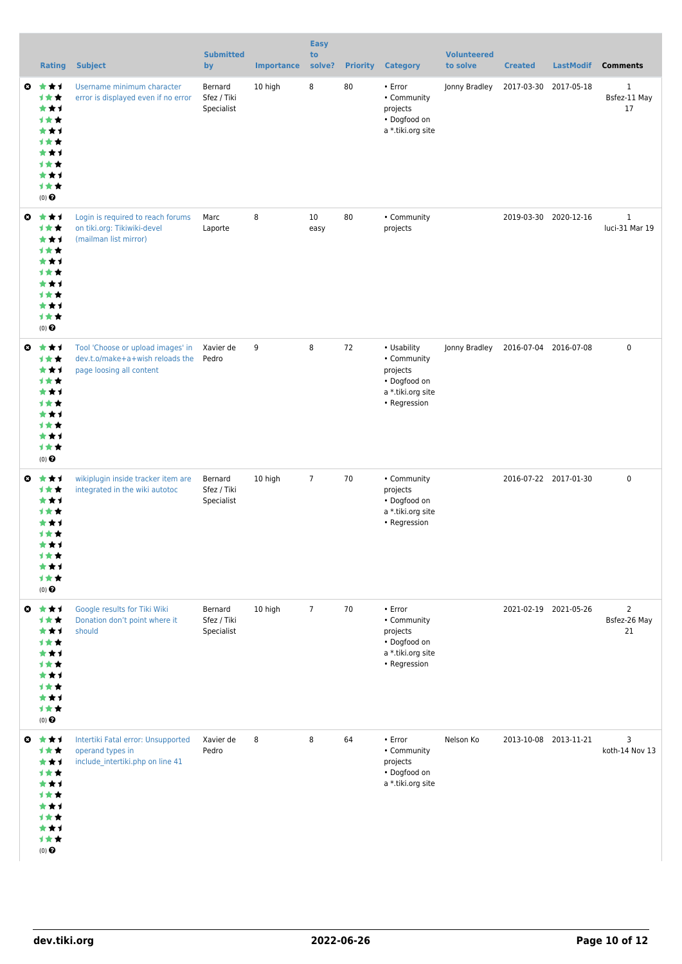|                       | <b>Rating</b>                                                                                     | <b>Subject</b>                                                                                   | <b>Submitted</b><br>by               | <b>Importance</b> | <b>Easy</b><br>to<br>solve? | <b>Priority</b> | <b>Category</b>                                                                               | <b>Volunteered</b><br>to solve | <b>Created</b>        | <b>LastModif</b>      | <b>Comments</b>                      |
|-----------------------|---------------------------------------------------------------------------------------------------|--------------------------------------------------------------------------------------------------|--------------------------------------|-------------------|-----------------------------|-----------------|-----------------------------------------------------------------------------------------------|--------------------------------|-----------------------|-----------------------|--------------------------------------|
| o.                    | ***<br>计女女<br>***<br>计女女<br>***<br>1★★<br>***<br>计女女<br>***<br>计女女<br>(0)                         | Username minimum character<br>error is displayed even if no error                                | Bernard<br>Sfez / Tiki<br>Specialist | 10 high           | 8                           | 80              | • Error<br>• Community<br>projects<br>• Dogfood on<br>a *.tiki.org site                       | Jonny Bradley                  | 2017-03-30            | 2017-05-18            | $\mathbf{1}$<br>Bsfez-11 May<br>17   |
| $\boldsymbol{\omega}$ | ***<br>***<br>***<br>计女女<br>***<br>计女女<br>***<br>计女女<br>***<br>计女女<br>(0)                         | Login is required to reach forums<br>on tiki.org: Tikiwiki-devel<br>(mailman list mirror)        | Marc<br>Laporte                      | 8                 | 10<br>easy                  | 80              | • Community<br>projects                                                                       |                                |                       | 2019-03-30 2020-12-16 | $\mathbf{1}$<br>luci-31 Mar 19       |
| $\boldsymbol{\omega}$ | ***<br>计女女<br>***<br>计女女<br>***<br><b>1★★</b><br>***<br><b>1★★</b><br>***<br>计女女<br>(0)           | Tool 'Choose or upload images' in<br>dev.t.o/make+a+wish reloads the<br>page loosing all content | Xavier de<br>Pedro                   | 9                 | 8                           | 72              | • Usability<br>• Community<br>projects<br>• Dogfood on<br>a *.tiki.org site<br>• Regression   | Jonny Bradley                  | 2016-07-04 2016-07-08 |                       | $\mathbf 0$                          |
| ◶                     | ***<br>计女女<br>***<br>计女女<br>***<br>计女女<br>***<br>计女女<br>★★1<br>计女女<br>$(0)$ $\pmb{\Theta}$        | wikiplugin inside tracker item are<br>integrated in the wiki autotoc                             | Bernard<br>Sfez / Tiki<br>Specialist | 10 high           | $\overline{7}$              | 70              | • Community<br>projects<br>• Dogfood on<br>a *.tiki.org site<br>• Regression                  |                                |                       | 2016-07-22 2017-01-30 | $\mathbf 0$                          |
| $\boldsymbol{\omega}$ | ***<br>计女女<br>***<br><b>1★★</b><br>***<br><b>1★★</b><br>***<br>计女女<br>***<br>计女女<br>$(0)$ $\odot$ | Google results for Tiki Wiki<br>Donation don't point where it<br>should                          | Bernard<br>Sfez / Tiki<br>Specialist | 10 high           | $\overline{7}$              | 70              | $\cdot$ Error<br>• Community<br>projects<br>• Dogfood on<br>a *.tiki.org site<br>• Regression |                                | 2021-02-19 2021-05-26 |                       | $\overline{2}$<br>Bsfez-26 May<br>21 |
|                       | ◎ ★★1<br>计女女<br>***<br>计女女<br>***<br><b>1★★</b><br>***<br>计女女<br>***<br>计女女<br>$(0)$ $\odot$      | Intertiki Fatal error: Unsupported<br>operand types in<br>include_intertiki.php on line 41       | Xavier de<br>Pedro                   | 8                 | 8                           | 64              | • Error<br>• Community<br>projects<br>• Dogfood on<br>a *.tiki.org site                       | Nelson Ko                      |                       | 2013-10-08 2013-11-21 | 3<br>koth-14 Nov 13                  |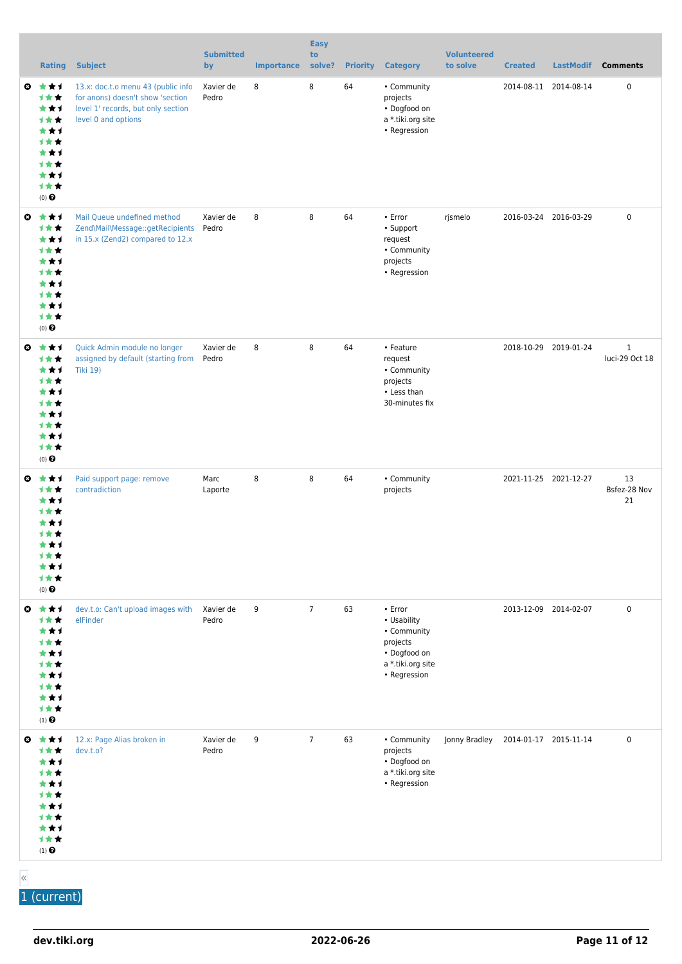|                       | <b>Rating</b>                                                                                             | <b>Subject</b>                                                                                                                      | <b>Submitted</b><br>by | <b>Importance</b> | <b>Easy</b><br>to<br>solve? | <b>Priority</b> | <b>Category</b>                                                                                        | <b>Volunteered</b><br>to solve | <b>Created</b>        | <b>LastModif</b> | <b>Comments</b>                |
|-----------------------|-----------------------------------------------------------------------------------------------------------|-------------------------------------------------------------------------------------------------------------------------------------|------------------------|-------------------|-----------------------------|-----------------|--------------------------------------------------------------------------------------------------------|--------------------------------|-----------------------|------------------|--------------------------------|
| ◒                     | ***<br>计女女<br>***<br>计女女<br>***<br>计女女<br>***<br>1★★<br>***<br>计女女<br>$(0)$ $\Theta$                      | 13.x: doc.t.o menu 43 (public info<br>for anons) doesn't show 'section<br>level 1' records, but only section<br>level 0 and options | Xavier de<br>Pedro     | 8                 | 8                           | 64              | • Community<br>projects<br>• Dogfood on<br>a *.tiki.org site<br>• Regression                           |                                | 2014-08-11 2014-08-14 |                  | 0                              |
| ◒                     | ***<br>***<br>***<br>计女女<br>***<br>计女女<br>***<br>1★★<br>***<br>计女女<br>(0)                                 | Mail Queue undefined method<br>Zend\Mail\Message::getRecipients<br>in 15.x (Zend2) compared to 12.x                                 | Xavier de<br>Pedro     | 8                 | 8                           | 64              | • Error<br>• Support<br>request<br>• Community<br>projects<br>• Regression                             | rjsmelo                        | 2016-03-24 2016-03-29 |                  | $\pmb{0}$                      |
| ◒                     | ***<br>1★★<br>***<br>计女女<br>***<br><b>1★★</b><br>***<br>1★★<br>***<br>计女女<br>$(0)$ $\Theta$               | Quick Admin module no longer<br>assigned by default (starting from<br><b>Tiki 19)</b>                                               | Xavier de<br>Pedro     | 8                 | 8                           | 64              | • Feature<br>request<br>• Community<br>projects<br>• Less than<br>30-minutes fix                       |                                | 2018-10-29 2019-01-24 |                  | $\mathbf{1}$<br>luci-29 Oct 18 |
| o.                    | ***<br>计女女<br>***<br><b>1★★</b><br>★★1<br>计女女<br>***<br>计女女<br>★★1<br>1★★<br>$(0)$ $\Theta$               | Paid support page: remove<br>contradiction                                                                                          | Marc<br>Laporte        | 8                 | 8                           | 64              | • Community<br>projects                                                                                |                                | 2021-11-25 2021-12-27 |                  | 13<br>Bsfez-28 Nov<br>21       |
| $\boldsymbol{\omega}$ | ***<br>***<br>***<br>计女女<br>***<br>计女女<br>***<br>计女女<br>***<br>计女女<br>$(1)$ <sup><math>\odot</math></sup> | dev.t.o: Can't upload images with<br>elFinder                                                                                       | Xavier de<br>Pedro     | 9                 | $\overline{7}$              | 63              | • Error<br>• Usability<br>• Community<br>projects<br>• Dogfood on<br>a *.tiki.org site<br>• Regression |                                | 2013-12-09 2014-02-07 |                  | $\pmb{0}$                      |
|                       | ◎ ★★1<br>计女女<br>***<br>计女女<br>***<br><b>1★★</b><br>***<br>计女女<br>***<br>计女女<br>$(1)$ $\odot$              | 12.x: Page Alias broken in<br>dev.t.o?                                                                                              | Xavier de<br>Pedro     | 9                 | $\overline{7}$              | 63              | • Community<br>projects<br>• Dogfood on<br>a *.tiki.org site<br>• Regression                           | Jonny Bradley                  | 2014-01-17 2015-11-14 |                  | 0                              |

«

1 (current)